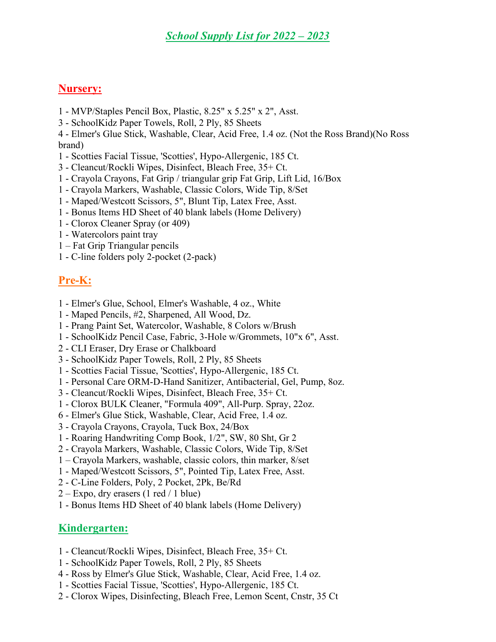## Nursery:

- 1 MVP/Staples Pencil Box, Plastic, 8.25" x 5.25" x 2", Asst.
- 3 SchoolKidz Paper Towels, Roll, 2 Ply, 85 Sheets
- 4 Elmer's Glue Stick, Washable, Clear, Acid Free, 1.4 oz. (Not the Ross Brand)(No Ross brand)
- 1 Scotties Facial Tissue, 'Scotties', Hypo-Allergenic, 185 Ct.
- 3 Cleancut/Rockli Wipes, Disinfect, Bleach Free, 35+ Ct.
- 1 Crayola Crayons, Fat Grip / triangular grip Fat Grip, Lift Lid, 16/Box
- 1 Crayola Markers, Washable, Classic Colors, Wide Tip, 8/Set
- 1 Maped/Westcott Scissors, 5", Blunt Tip, Latex Free, Asst.
- 1 Bonus Items HD Sheet of 40 blank labels (Home Delivery)
- 1 Clorox Cleaner Spray (or 409)
- 1 Watercolors paint tray
- 1 Fat Grip Triangular pencils
- 1 C-line folders poly 2-pocket (2-pack)

# Pre-K:

- 1 Elmer's Glue, School, Elmer's Washable, 4 oz., White
- 1 Maped Pencils, #2, Sharpened, All Wood, Dz.
- 1 Prang Paint Set, Watercolor, Washable, 8 Colors w/Brush
- 1 SchoolKidz Pencil Case, Fabric, 3-Hole w/Grommets, 10"x 6", Asst.
- 2 CLI Eraser, Dry Erase or Chalkboard
- 3 SchoolKidz Paper Towels, Roll, 2 Ply, 85 Sheets
- 1 Scotties Facial Tissue, 'Scotties', Hypo-Allergenic, 185 Ct.
- 1 Personal Care ORM-D-Hand Sanitizer, Antibacterial, Gel, Pump, 8oz.
- 3 Cleancut/Rockli Wipes, Disinfect, Bleach Free, 35+ Ct.
- 1 Clorox BULK Cleaner, "Formula 409", All-Purp. Spray, 22oz.
- 6 Elmer's Glue Stick, Washable, Clear, Acid Free, 1.4 oz.
- 3 Crayola Crayons, Crayola, Tuck Box, 24/Box
- 1 Roaring Handwriting Comp Book, 1/2", SW, 80 Sht, Gr 2
- 2 Crayola Markers, Washable, Classic Colors, Wide Tip, 8/Set
- 1 Crayola Markers, washable, classic colors, thin marker, 8/set
- 1 Maped/Westcott Scissors, 5", Pointed Tip, Latex Free, Asst.
- 2 C-Line Folders, Poly, 2 Pocket, 2Pk, Be/Rd
- $2 -$  Expo, dry erasers (1 red / 1 blue)
- 1 Bonus Items HD Sheet of 40 blank labels (Home Delivery)

## Kindergarten:

- 1 Cleancut/Rockli Wipes, Disinfect, Bleach Free, 35+ Ct.
- 1 SchoolKidz Paper Towels, Roll, 2 Ply, 85 Sheets
- 4 Ross by Elmer's Glue Stick, Washable, Clear, Acid Free, 1.4 oz.
- 1 Scotties Facial Tissue, 'Scotties', Hypo-Allergenic, 185 Ct.
- 2 Clorox Wipes, Disinfecting, Bleach Free, Lemon Scent, Cnstr, 35 Ct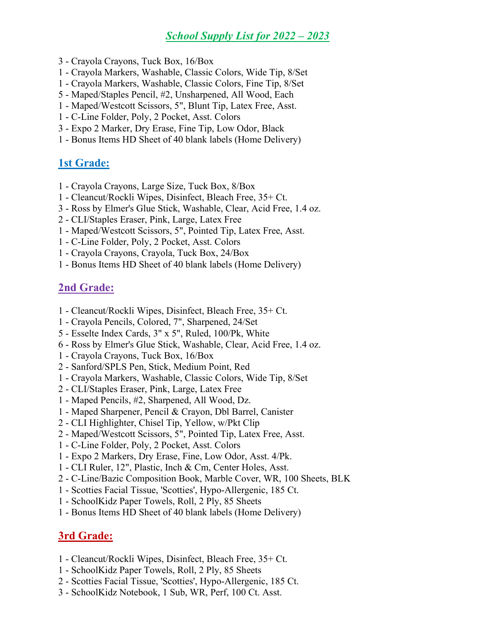### School Supply List for 2022 – 2023

- 3 Crayola Crayons, Tuck Box, 16/Box
- 1 Crayola Markers, Washable, Classic Colors, Wide Tip, 8/Set
- 1 Crayola Markers, Washable, Classic Colors, Fine Tip, 8/Set
- 5 Maped/Staples Pencil, #2, Unsharpened, All Wood, Each
- 1 Maped/Westcott Scissors, 5", Blunt Tip, Latex Free, Asst.
- 1 C-Line Folder, Poly, 2 Pocket, Asst. Colors
- 3 Expo 2 Marker, Dry Erase, Fine Tip, Low Odor, Black
- 1 Bonus Items HD Sheet of 40 blank labels (Home Delivery)

#### 1st Grade:

- 1 Crayola Crayons, Large Size, Tuck Box, 8/Box
- 1 Cleancut/Rockli Wipes, Disinfect, Bleach Free, 35+ Ct.
- 3 Ross by Elmer's Glue Stick, Washable, Clear, Acid Free, 1.4 oz.
- 2 CLI/Staples Eraser, Pink, Large, Latex Free
- 1 Maped/Westcott Scissors, 5", Pointed Tip, Latex Free, Asst.
- 1 C-Line Folder, Poly, 2 Pocket, Asst. Colors
- 1 Crayola Crayons, Crayola, Tuck Box, 24/Box
- 1 Bonus Items HD Sheet of 40 blank labels (Home Delivery)

#### 2nd Grade:

- 1 Cleancut/Rockli Wipes, Disinfect, Bleach Free, 35+ Ct.
- 1 Crayola Pencils, Colored, 7", Sharpened, 24/Set
- 5 Esselte Index Cards, 3" x 5", Ruled, 100/Pk, White
- 6 Ross by Elmer's Glue Stick, Washable, Clear, Acid Free, 1.4 oz.
- 1 Crayola Crayons, Tuck Box, 16/Box
- 2 Sanford/SPLS Pen, Stick, Medium Point, Red
- 1 Crayola Markers, Washable, Classic Colors, Wide Tip, 8/Set
- 2 CLI/Staples Eraser, Pink, Large, Latex Free
- 1 Maped Pencils, #2, Sharpened, All Wood, Dz.
- 1 Maped Sharpener, Pencil & Crayon, Dbl Barrel, Canister
- 2 CLI Highlighter, Chisel Tip, Yellow, w/Pkt Clip
- 2 Maped/Westcott Scissors, 5", Pointed Tip, Latex Free, Asst.
- 1 C-Line Folder, Poly, 2 Pocket, Asst. Colors
- 1 Expo 2 Markers, Dry Erase, Fine, Low Odor, Asst. 4/Pk.
- 1 CLI Ruler, 12", Plastic, Inch & Cm, Center Holes, Asst.
- 2 C-Line/Bazic Composition Book, Marble Cover, WR, 100 Sheets, BLK
- 1 Scotties Facial Tissue, 'Scotties', Hypo-Allergenic, 185 Ct.
- 1 SchoolKidz Paper Towels, Roll, 2 Ply, 85 Sheets
- 1 Bonus Items HD Sheet of 40 blank labels (Home Delivery)

#### 3rd Grade:

- 1 Cleancut/Rockli Wipes, Disinfect, Bleach Free, 35+ Ct.
- 1 SchoolKidz Paper Towels, Roll, 2 Ply, 85 Sheets
- 2 Scotties Facial Tissue, 'Scotties', Hypo-Allergenic, 185 Ct.
- 3 SchoolKidz Notebook, 1 Sub, WR, Perf, 100 Ct. Asst.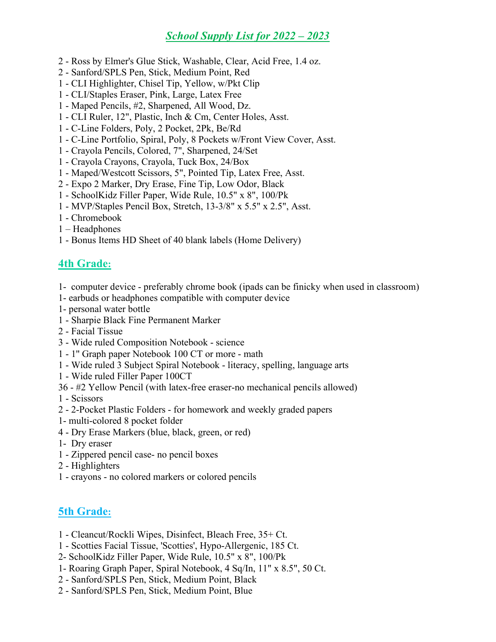## School Supply List for 2022 – 2023

- 2 Ross by Elmer's Glue Stick, Washable, Clear, Acid Free, 1.4 oz.
- 2 Sanford/SPLS Pen, Stick, Medium Point, Red
- 1 CLI Highlighter, Chisel Tip, Yellow, w/Pkt Clip
- 1 CLI/Staples Eraser, Pink, Large, Latex Free
- 1 Maped Pencils, #2, Sharpened, All Wood, Dz.
- 1 CLI Ruler, 12", Plastic, Inch & Cm, Center Holes, Asst.
- 1 C-Line Folders, Poly, 2 Pocket, 2Pk, Be/Rd
- 1 C-Line Portfolio, Spiral, Poly, 8 Pockets w/Front View Cover, Asst.
- 1 Crayola Pencils, Colored, 7", Sharpened, 24/Set
- 1 Crayola Crayons, Crayola, Tuck Box, 24/Box
- 1 Maped/Westcott Scissors, 5", Pointed Tip, Latex Free, Asst.
- 2 Expo 2 Marker, Dry Erase, Fine Tip, Low Odor, Black
- 1 SchoolKidz Filler Paper, Wide Rule, 10.5" x 8", 100/Pk
- 1 MVP/Staples Pencil Box, Stretch, 13-3/8" x 5.5" x 2.5", Asst.
- 1 Chromebook
- 1 Headphones
- 1 Bonus Items HD Sheet of 40 blank labels (Home Delivery)

### 4th Grade:

- 1- computer device preferably chrome book (ipads can be finicky when used in classroom)
- 1- earbuds or headphones compatible with computer device
- 1- personal water bottle
- 1 Sharpie Black Fine Permanent Marker
- 2 Facial Tissue
- 3 Wide ruled Composition Notebook science
- 1 1'' Graph paper Notebook 100 CT or more math
- 1 Wide ruled 3 Subject Spiral Notebook literacy, spelling, language arts
- 1 Wide ruled Filler Paper 100CT
- 36 #2 Yellow Pencil (with latex-free eraser-no mechanical pencils allowed)
- 1 Scissors
- 2 2-Pocket Plastic Folders for homework and weekly graded papers
- 1- multi-colored 8 pocket folder
- 4 Dry Erase Markers (blue, black, green, or red)
- 1- Dry eraser
- 1 Zippered pencil case- no pencil boxes
- 2 Highlighters
- 1 crayons no colored markers or colored pencils

## 5th Grade:

- 1 Cleancut/Rockli Wipes, Disinfect, Bleach Free, 35+ Ct.
- 1 Scotties Facial Tissue, 'Scotties', Hypo-Allergenic, 185 Ct.
- 2- SchoolKidz Filler Paper, Wide Rule, 10.5" x 8", 100/Pk
- 1- Roaring Graph Paper, Spiral Notebook, 4 Sq/In, 11" x 8.5", 50 Ct.
- 2 Sanford/SPLS Pen, Stick, Medium Point, Black
- 2 Sanford/SPLS Pen, Stick, Medium Point, Blue